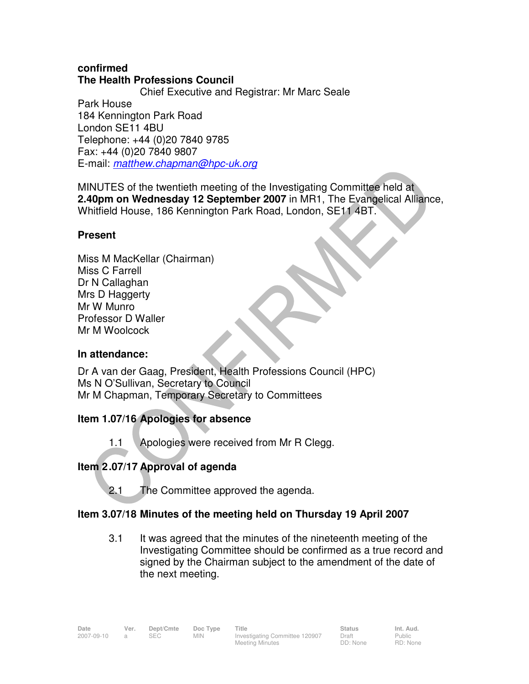## **confirmed The Health Professions Council**

 Chief Executive and Registrar: Mr Marc Seale Park House 184 Kennington Park Road London SE11 4BU Telephone: +44 (0)20 7840 9785 Fax: +44 (0)20 7840 9807 E-mail: matthew.chapman@hpc-uk.org

MINUTES of the twentieth meeting of the Investigating Committee held at **2.40pm on Wednesday 12 September 2007** in MR1, The Evangelical Alliance, Whitfield House, 186 Kennington Park Road, London, SE11 4BT.

# **Present**

Miss M MacKellar (Chairman) Miss C Farrell Dr N Callaghan Mrs D Haggerty Mr W Munro Professor D Waller Mr M Woolcock

## **In attendance:**

Dr A van der Gaag, President, Health Professions Council (HPC) Ms N O'Sullivan, Secretary to Council Mr M Chapman, Temporary Secretary to Committees

# **Item 1.07/16 Apologies for absence**

1.1 Apologies were received from Mr R Clegg.

# **Item 2 .07/17 Approval of agenda**

2.1 The Committee approved the agenda.

# **Item 3.07/18 Minutes of the meeting held on Thursday 19 April 2007**

3.1 It was agreed that the minutes of the nineteenth meeting of the Investigating Committee should be confirmed as a true record and signed by the Chairman subject to the amendment of the date of the next meeting.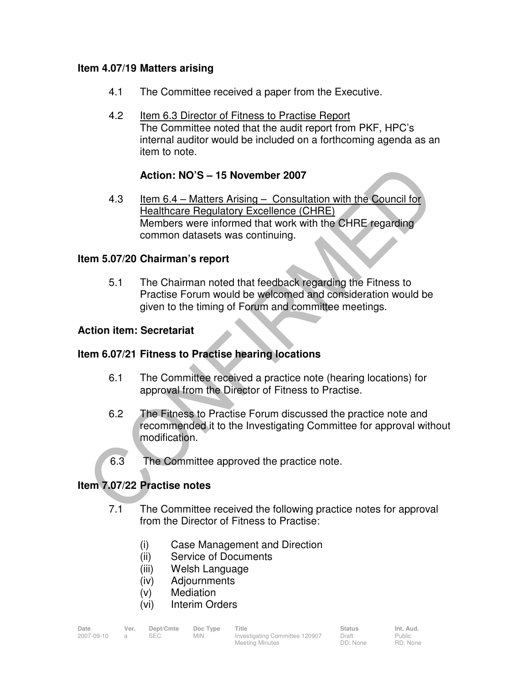## **Item 4.07/19 Matters arising**

- 4.1 The Committee received a paper from the Executive.
- 4.2 Item 6.3 Director of Fitness to Practise Report The Committee noted that the audit report from PKF, HPC's internal auditor would be included on a forthcoming agenda as an item to note.

## **Action: NO'S – 15 November 2007**

4.3 Item 6.4 – Matters Arising – Consultation with the Council for Healthcare Regulatory Excellence (CHRE) Members were informed that work with the CHRE regarding common datasets was continuing.

## **Item 5.07/20 Chairman's report**

5.1 The Chairman noted that feedback regarding the Fitness to Practise Forum would be welcomed and consideration would be given to the timing of Forum and committee meetings.

## **Action item: Secretariat**

## **Item 6.07/21 Fitness to Practise hearing locations**

- 6.1 The Committee received a practice note (hearing locations) for approval from the Director of Fitness to Practise.
- 6.2 The Fitness to Practise Forum discussed the practice note and recommended it to the Investigating Committee for approval without modification.
- 6.3 The Committee approved the practice note.

## **Item 7.07/22 Practise notes**

- 7.1 The Committee received the following practice notes for approval from the Director of Fitness to Practise:
	- (i) Case Management and Direction
	- (ii) Service of Documents
	- (iii) Welsh Language
	- (iv) Adjournments
	- (v) Mediation
	- (vi) Interim Orders

| Date       | Ver. | Dept/Cmte | Doc Type   | <b>Title</b>                   | <b>Status</b> | Int. Aud. |
|------------|------|-----------|------------|--------------------------------|---------------|-----------|
| 2007-09-10 |      | SEC.      | <b>MIN</b> | Investigating Committee 120907 | Draft         | Public    |
|            |      |           |            | <b>Meeting Minutes</b>         | DD: None      | RD: None  |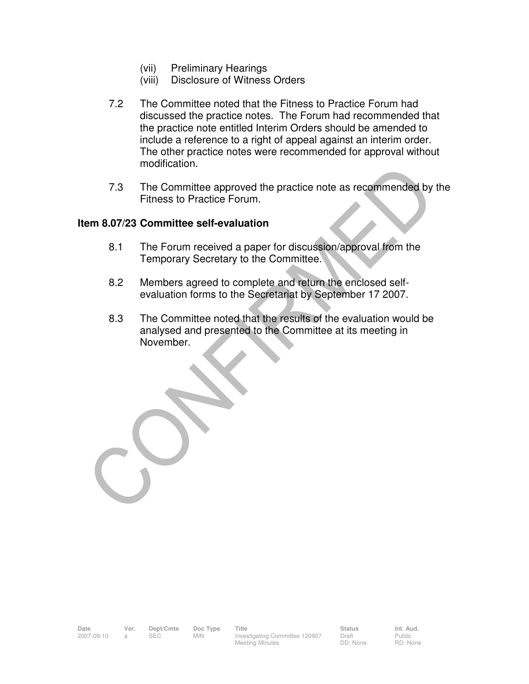- (vii) Preliminary Hearings
- (viii) Disclosure of Witness Orders
- 7.2 The Committee noted that the Fitness to Practice Forum had discussed the practice notes. The Forum had recommended that the practice note entitled Interim Orders should be amended to include a reference to a right of appeal against an interim order. The other practice notes were recommended for approval without modification.
- 7.3 The Committee approved the practice note as recommended by the Fitness to Practice Forum.

#### **Item 8.07/23 Committee self-evaluation**

- 8.1 The Forum received a paper for discussion/approval from the Temporary Secretary to the Committee.
- 8.2 Members agreed to complete and return the enclosed selfevaluation forms to the Secretariat by September 17 2007.
- 8.3 The Committee noted that the results of the evaluation would be analysed and presented to the Committee at its meeting in November.

Draft DD: None Public RD: None